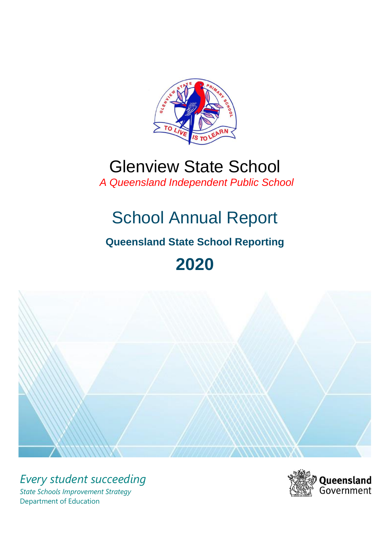

## Glenview State School  *A Queensland Independent Public School*

# School Annual Report

## **Queensland State School Reporting**

# **2020**



*Every student succeeding State Schools Improvement Strategy* Department of Education

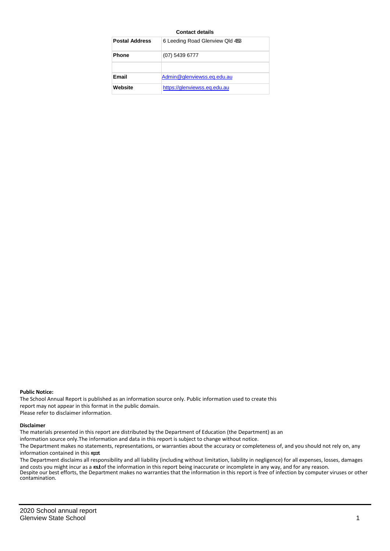#### **Contact details**

| <b>Postal Address</b> | 6 Leeding Road Glenview Qld 453 |
|-----------------------|---------------------------------|
| <b>Phone</b>          | $(07)$ 5439 6777                |
|                       |                                 |
| Email                 | Admin@glenviewss.eq.edu.au      |
| Website               | https://glenviewss.eq.edu.au    |

#### **Public Notice:**

The School Annual Report is published as an information source only. Public information used to create this report may not appear in this format in the public domain. Please refer to disclaimer information.

#### **Disclaimer**

The materials presented in this report are distributed by the Department of Education (the Department) as an

information source only.The information and data in this report is subject to change without notice.

The Department makes no statements, representations, or warranties about the accuracy or completeness of, and you should not rely on, any information contained in this report.

The Department disclaims all responsibility and all liability (including without limitation, liability in negligence) for all expenses, losses, damages and costs you might incur as a reatof the information in this report being inaccurate or incomplete in any way, and for any reason. Despite our best efforts, the Department makes no warranties that the information in this report is free of infection by computer viruses or other contamination.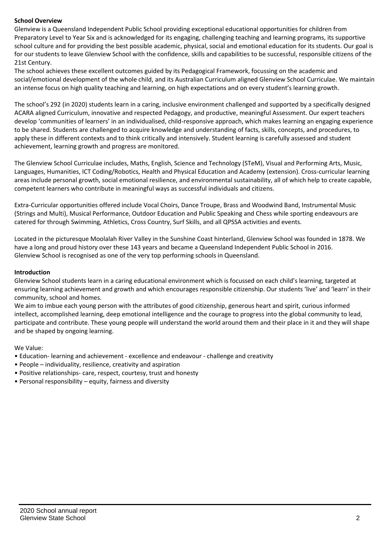## **School Overview**

Glenview is a Queensland Independent Public School providing exceptional educational opportunities for children from Preparatory Level to Year Six and is acknowledged for its engaging, challenging teaching and learning programs, its supportive school culture and for providing the best possible academic, physical, social and emotional education for its students. Our goal is for our students to leave Glenview School with the confidence, skills and capabilities to be successful, responsible citizens of the 21st Century.

The school achieves these excellent outcomes guided by its Pedagogical Framework, focussing on the academic and social/emotional development of the whole child, and its Australian Curriculum aligned Glenview School Curriculae. We maintain an intense focus on high quality teaching and learning, on high expectations and on every student's learning growth.

The school's 292 (in 2020) students learn in a caring, inclusive environment challenged and supported by a specifically designed ACARA aligned Curriculum, innovative and respected Pedagogy, and productive, meaningful Assessment. Our expert teachers develop 'communities of learners' in an individualised, child-responsive approach, which makes learning an engaging experience to be shared. Students are challenged to acquire knowledge and understanding of facts, skills, concepts, and procedures, to apply these in different contexts and to think critically and intensively. Student learning is carefully assessed and student achievement, learning growth and progress are monitored.

The Glenview School Curriculae includes, Maths, English, Science and Technology (STeM), Visual and Performing Arts, Music, Languages, Humanities, ICT Coding/Robotics, Health and Physical Education and Academy (extension). Cross-curricular learning areas include personal growth, social emotional resilience, and environmental sustainability, all of which help to create capable, competent learners who contribute in meaningful ways as successful individuals and citizens.

Extra-Curricular opportunities offered include Vocal Choirs, Dance Troupe, Brass and Woodwind Band, Instrumental Music (Strings and Multi), Musical Performance, Outdoor Education and Public Speaking and Chess while sporting endeavours are catered for through Swimming, Athletics, Cross Country, Surf Skills, and all QPSSA activities and events.

Located in the picturesque Moolalah River Valley in the Sunshine Coast hinterland, Glenview School was founded in 1878. We have a long and proud history over these 143 years and became a Queensland Independent Public School in 2016. Glenview School is recognised as one of the very top performing schools in Queensland.

## **Introduction**

Glenview School students learn in a caring educational environment which is focussed on each child's learning, targeted at ensuring learning achievement and growth and which encourages responsible citizenship. Our students 'live' and 'learn' in their community, school and homes.

We aim to imbue each young person with the attributes of good citizenship, generous heart and spirit, curious informed intellect, accomplished learning, deep emotional intelligence and the courage to progress into the global community to lead, participate and contribute. These young people will understand the world around them and their place in it and they will shape and be shaped by ongoing learning.

We Value:

- Education- learning and achievement excellence and endeavour challenge and creativity
- People individuality, resilience, creativity and aspiration
- Positive relationships- care, respect, courtesy, trust and honesty
- Personal responsibility equity, fairness and diversity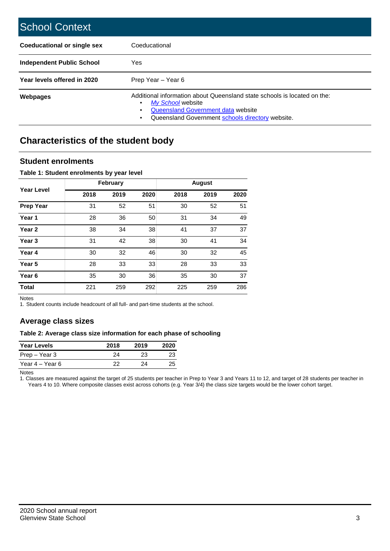| <b>School Context</b>              |                                                                                                                                                                                         |
|------------------------------------|-----------------------------------------------------------------------------------------------------------------------------------------------------------------------------------------|
| <b>Coeducational or single sex</b> | Coeducational                                                                                                                                                                           |
| <b>Independent Public School</b>   | Yes                                                                                                                                                                                     |
| Year levels offered in 2020        | Prep Year – Year 6                                                                                                                                                                      |
| <b>Webpages</b>                    | Additional information about Queensland state schools is located on the:<br>My School website<br>Queensland Government data website<br>Queensland Government schools directory website. |

## **Characteristics of the student body**

## **Student enrolments**

#### **Table 1: Student enrolments by year level**

|                   |      | <b>February</b> |      |      | <b>August</b> |      |
|-------------------|------|-----------------|------|------|---------------|------|
| <b>Year Level</b> | 2018 | 2019            | 2020 | 2018 | 2019          | 2020 |
| <b>Prep Year</b>  | 31   | 52              | 51   | 30   | 52            | 51   |
| Year 1            | 28   | 36              | 50   | 31   | 34            | 49   |
| Year <sub>2</sub> | 38   | 34              | 38   | 41   | 37            | 37   |
| Year 3            | 31   | 42              | 38   | 30   | 41            | 34   |
| Year 4            | 30   | 32              | 46   | 30   | 32            | 45   |
| Year 5            | 28   | 33              | 33   | 28   | 33            | 33   |
| Year <sub>6</sub> | 35   | 30              | 36   | 35   | 30            | 37   |
| <b>Total</b>      | 221  | 259             | 292  | 225  | 259           | 286  |

Notes

1. Student counts include headcount of all full- and part-time students at the school.

## **Average class sizes**

### **Table 2: Average class size information for each phase of schooling**

| <b>Year Levels</b> | 2018 | 2019 | 2020 |
|--------------------|------|------|------|
| Prep – Year 3      | 24   | 23   | 23   |
| Year 4 – Year 6    | つつ   | 24   | 25   |

Notes

1. Classes are measured against the target of 25 students per teacher in Prep to Year 3 and Years 11 to 12, and target of 28 students per teacher in Years 4 to 10. Where composite classes exist across cohorts (e.g. Year 3/4) the class size targets would be the lower cohort target.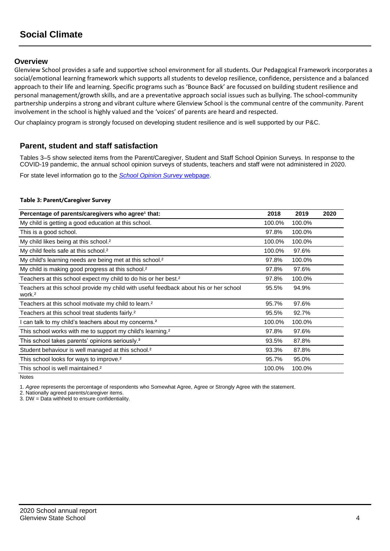## **Overview**

Glenview School provides a safe and supportive school environment for all students. Our Pedagogical Framework incorporates a social/emotional learning framework which supports all students to develop resilience, confidence, persistence and a balanced approach to their life and learning. Specific programs such as 'Bounce Back' are focussed on building student resilience and personal management/growth skills, and are a preventative approach social issues such as bullying. The school-community partnership underpins a strong and vibrant culture where Glenview School is the communal centre of the community. Parent involvement in the school is highly valued and the 'voices' of parents are heard and respected.

Our chaplaincy program is strongly focused on developing student resilience and is well supported by our P&C.

## **Parent, student and staff satisfaction**

Tables 3–5 show selected items from the Parent/Caregiver, Student and Staff School Opinion Surveys. In response to the COVID-19 pandemic, the annual school opinion surveys of students, teachers and staff were not administered in 2020.

For state level information go to the *[School Opinion Survey](https://qed.qld.gov.au/publications/reports/statistics/schooling/schools/schoolopinionsurvey)* [webpage.](https://qed.qld.gov.au/publications/reports/statistics/schooling/schools/schoolopinionsurvey)

#### **Table 3: Parent/Caregiver Survey**

| Percentage of parents/caregivers who agree <sup>1</sup> that:                                               | 2018   | 2019   | 2020 |
|-------------------------------------------------------------------------------------------------------------|--------|--------|------|
| My child is getting a good education at this school.                                                        | 100.0% | 100.0% |      |
| This is a good school.                                                                                      | 97.8%  | 100.0% |      |
| My child likes being at this school. <sup>2</sup>                                                           | 100.0% | 100.0% |      |
| My child feels safe at this school. <sup>2</sup>                                                            | 100.0% | 97.6%  |      |
| My child's learning needs are being met at this school. <sup>2</sup>                                        | 97.8%  | 100.0% |      |
| My child is making good progress at this school. <sup>2</sup>                                               | 97.8%  | 97.6%  |      |
| Teachers at this school expect my child to do his or her best. <sup>2</sup>                                 | 97.8%  | 100.0% |      |
| Teachers at this school provide my child with useful feedback about his or her school<br>work. <sup>2</sup> | 95.5%  | 94.9%  |      |
| Teachers at this school motivate my child to learn. <sup>2</sup>                                            | 95.7%  | 97.6%  |      |
| Teachers at this school treat students fairly. <sup>2</sup>                                                 | 95.5%  | 92.7%  |      |
| I can talk to my child's teachers about my concerns. <sup>2</sup>                                           | 100.0% | 100.0% |      |
| This school works with me to support my child's learning. <sup>2</sup>                                      | 97.8%  | 97.6%  |      |
| This school takes parents' opinions seriously. <sup>2</sup>                                                 | 93.5%  | 87.8%  |      |
| Student behaviour is well managed at this school. <sup>2</sup>                                              | 93.3%  | 87.8%  |      |
| This school looks for ways to improve. <sup>2</sup>                                                         | 95.7%  | 95.0%  |      |
| This school is well maintained. <sup>2</sup>                                                                | 100.0% | 100.0% |      |

Notes

1. *Agree* represents the percentage of respondents who Somewhat Agree, Agree or Strongly Agree with the statement.

2. Nationally agreed parents/caregiver items.

3. DW = Data withheld to ensure confidentiality.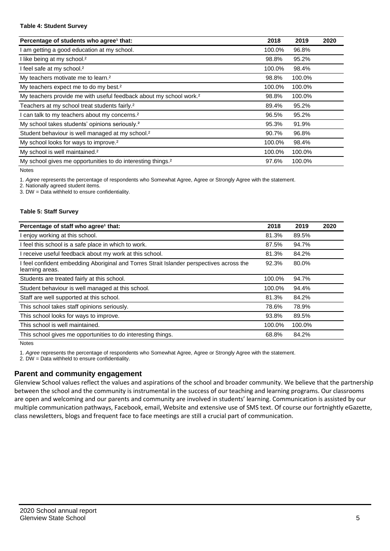#### **Table 4: Student Survey**

| Percentage of students who agree <sup>1</sup> that:                            | 2018   | 2019   | 2020 |
|--------------------------------------------------------------------------------|--------|--------|------|
| am getting a good education at my school.                                      | 100.0% | 96.8%  |      |
| I like being at my school. <sup>2</sup>                                        | 98.8%  | 95.2%  |      |
| I feel safe at my school. <sup>2</sup>                                         | 100.0% | 98.4%  |      |
| My teachers motivate me to learn. <sup>2</sup>                                 | 98.8%  | 100.0% |      |
| My teachers expect me to do my best. <sup>2</sup>                              | 100.0% | 100.0% |      |
| My teachers provide me with useful feedback about my school work. <sup>2</sup> | 98.8%  | 100.0% |      |
| Teachers at my school treat students fairly. <sup>2</sup>                      | 89.4%  | 95.2%  |      |
| can talk to my teachers about my concerns. <sup>2</sup>                        | 96.5%  | 95.2%  |      |
| My school takes students' opinions seriously. <sup>2</sup>                     | 95.3%  | 91.9%  |      |
| Student behaviour is well managed at my school. <sup>2</sup>                   | 90.7%  | 96.8%  |      |
| My school looks for ways to improve. <sup>2</sup>                              | 100.0% | 98.4%  |      |
| My school is well maintained. <sup>2</sup>                                     | 100.0% | 100.0% |      |
| My school gives me opportunities to do interesting things. <sup>2</sup>        | 97.6%  | 100.0% |      |

Notes

1. *Agree* represents the percentage of respondents who Somewhat Agree, Agree or Strongly Agree with the statement.

2. Nationally agreed student items.

3. DW = Data withheld to ensure confidentiality.

#### **Table 5: Staff Survey**

| Percentage of staff who agree <sup>1</sup> that:                                                            | 2018   | 2019   | 2020 |
|-------------------------------------------------------------------------------------------------------------|--------|--------|------|
| I enjoy working at this school.                                                                             | 81.3%  | 89.5%  |      |
| I feel this school is a safe place in which to work.                                                        | 87.5%  | 94.7%  |      |
| I receive useful feedback about my work at this school.                                                     | 81.3%  | 84.2%  |      |
| I feel confident embedding Aboriginal and Torres Strait Islander perspectives across the<br>learning areas. | 92.3%  | 80.0%  |      |
| Students are treated fairly at this school.                                                                 | 100.0% | 94.7%  |      |
| Student behaviour is well managed at this school.                                                           | 100.0% | 94.4%  |      |
| Staff are well supported at this school.                                                                    | 81.3%  | 84.2%  |      |
| This school takes staff opinions seriously.                                                                 | 78.6%  | 78.9%  |      |
| This school looks for ways to improve.                                                                      | 93.8%  | 89.5%  |      |
| This school is well maintained.                                                                             | 100.0% | 100.0% |      |
| This school gives me opportunities to do interesting things.                                                | 68.8%  | 84.2%  |      |

**Notes** 

1. *Agree* represents the percentage of respondents who Somewhat Agree, Agree or Strongly Agree with the statement.

2. DW = Data withheld to ensure confidentiality.

## **Parent and community engagement**

Glenview School values reflect the values and aspirations of the school and broader community. We believe that the partnership between the school and the community is instrumental in the success of our teaching and learning programs. Our classrooms are open and welcoming and our parents and community are involved in students' learning. Communication is assisted by our multiple communication pathways, Facebook, email, Website and extensive use of SMS text. Of course our fortnightly eGazette, class newsletters, blogs and frequent face to face meetings are still a crucial part of communication.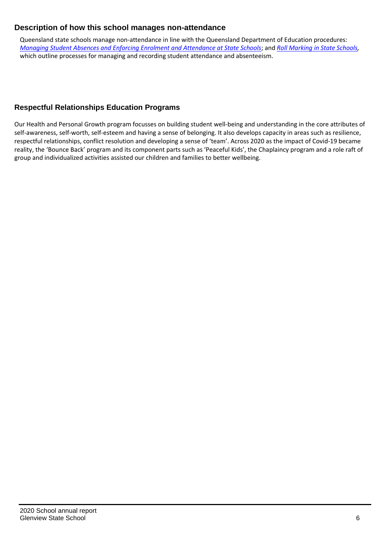## **Description of how this school manages non-attendance**

Queensland state schools manage non-attendance in line with the Queensland Department of Education procedures: *[Managing Student Absences and Enforcing Enrolment and Attendance at State Schools](https://ppr.qed.qld.gov.au/pp/managing-student-absences-and-enforcing-enrolment-and-attendance-at-state-schools-procedure)*; and *[Roll Marking in State Schools,](https://ppr.qed.qld.gov.au/pp/roll-marking-in-state-schools-procedure)* which outline processes for managing and recording student attendance and absenteeism.

## **Respectful Relationships Education Programs**

Our Health and Personal Growth program focusses on building student well-being and understanding in the core attributes of self-awareness, self-worth, self-esteem and having a sense of belonging. It also develops capacity in areas such as resilience, respectful relationships, conflict resolution and developing a sense of 'team'. Across 2020 as the impact of Covid-19 became reality, the 'Bounce Back' program and its component parts such as 'Peaceful Kids', the Chaplaincy program and a role raft of group and individualized activities assisted our children and families to better wellbeing.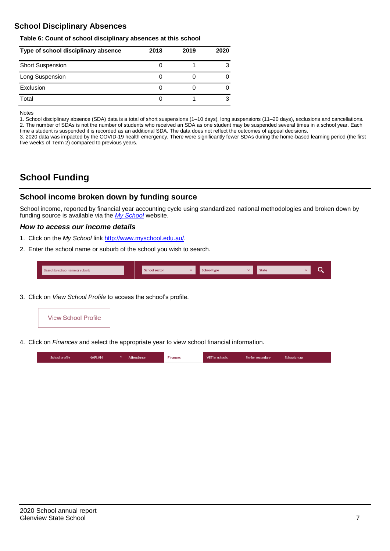## **School Disciplinary Absences**

#### **Table 6: Count of school disciplinary absences at this school**

| Type of school disciplinary absence | 2018 | 2019 | 2020 |
|-------------------------------------|------|------|------|
| <b>Short Suspension</b>             |      |      |      |
| Long Suspension                     |      |      |      |
| Exclusion                           |      |      |      |
| Total                               |      |      | 3    |

Notes

1. School disciplinary absence (SDA) data is a total of short suspensions (1–10 days), long suspensions (11–20 days), exclusions and cancellations. 2. The number of SDAs is not the number of students who received an SDA as one student may be suspended several times in a school year. Each time a student is suspended it is recorded as an additional SDA. The data does not reflect the outcomes of appeal decisions.

3. 2020 data was impacted by the COVID-19 health emergency. There were significantly fewer SDAs during the home-based learning period (the first five weeks of Term 2) compared to previous years.

## **School Funding**

## **School income broken down by funding source**

School income, reported by financial year accounting cycle using standardized national methodologies and broken down by funding source is available via the *[My School](http://www.myschool.edu.au/)* website.

#### *How to access our income details*

- 1. Click on the *My School* link [http://www.myschool.edu.au/.](http://www.myschool.edu.au/)
- 2. Enter the school name or suburb of the school you wish to search.

| Search by school name or suburb | <b>School sector</b> | <b>School type</b> | <b>State</b> | ∽ |
|---------------------------------|----------------------|--------------------|--------------|---|
|                                 |                      |                    |              |   |

3. Click on *View School Profile* to access the school's profile.



4. Click on *Finances* and select the appropriate year to view school financial information.

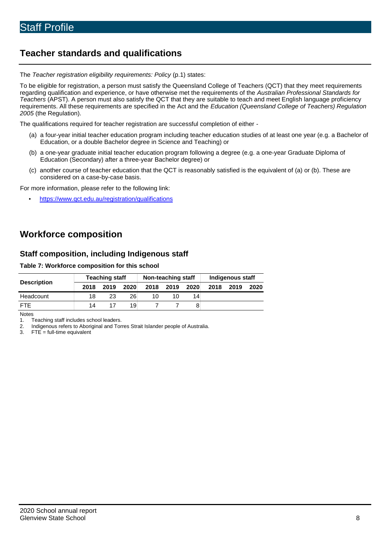## **Teacher standards and qualifications**

The *Teacher registration eligibility requirements: Policy* (p.1) states:

To be eligible for registration, a person must satisfy the Queensland College of Teachers (QCT) that they meet requirements regarding qualification and experience, or have otherwise met the requirements of the *Australian Professional Standards for Teachers* (APST). A person must also satisfy the QCT that they are suitable to teach and meet English language proficiency requirements. All these requirements are specified in the Act and the *Education (Queensland College of Teachers) Regulation 2005* (the Regulation).

The qualifications required for teacher registration are successful completion of either -

- (a) a four-year initial teacher education program including teacher education studies of at least one year (e.g. a Bachelor of Education, or a double Bachelor degree in Science and Teaching) or
- (b) a one-year graduate initial teacher education program following a degree (e.g. a one-year Graduate Diploma of Education (Secondary) after a three-year Bachelor degree) or
- (c) another course of teacher education that the QCT is reasonably satisfied is the equivalent of (a) or (b). These are considered on a case-by-case basis.

For more information, please refer to the following link:

• <https://www.qct.edu.au/registration/qualifications>

## **Workforce composition**

## **Staff composition, including Indigenous staff**

**Table 7: Workforce composition for this school**

|                    | Teaching staff |      |      | Non-teaching staff |      |      | Indigenous staff |      |      |
|--------------------|----------------|------|------|--------------------|------|------|------------------|------|------|
| <b>Description</b> | 2018           | 2019 | 2020 | 2018               | 2019 | 2020 | 2018             | 2019 | 2020 |
| Headcount          | 18             | 23   | 26   | 10                 | 10   | 14   |                  |      |      |
| <b>FTF</b>         | 14             |      | 19   |                    |      | 8    |                  |      |      |

Notes

1. Teaching staff includes school leaders.<br>2. Indigenous refers to Aboriginal and Tor

2. Indigenous refers to Aboriginal and Torres Strait Islander people of Australia.<br>3. FTE = full-time equivalent

 $FTE = full-time equivalent$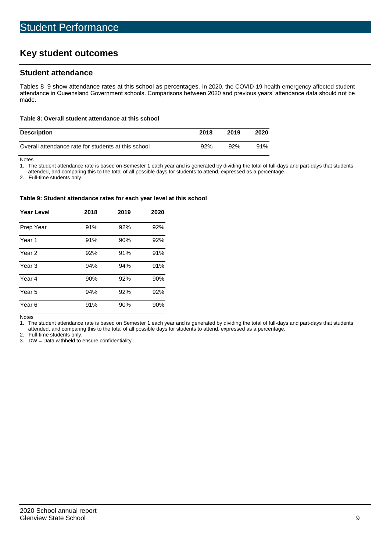## **Key student outcomes**

## **Student attendance**

Tables 8–9 show attendance rates at this school as percentages. In 2020, the COVID-19 health emergency affected student attendance in Queensland Government schools. Comparisons between 2020 and previous years' attendance data should not be made.

#### **Table 8: Overall student attendance at this school**

| <b>Description</b>                                  | 2018 | 2019 | 2020 |
|-----------------------------------------------------|------|------|------|
| Overall attendance rate for students at this school | 92%  | 92%  | 91%  |

Notes

1. The student attendance rate is based on Semester 1 each year and is generated by dividing the total of full-days and part-days that students

attended, and comparing this to the total of all possible days for students to attend, expressed as a percentage.

2. Full-time students only.

#### **Table 9: Student attendance rates for each year level at this school**

| <b>Year Level</b> | 2018 | 2019 | 2020 |
|-------------------|------|------|------|
| Prep Year         | 91%  | 92%  | 92%  |
| Year <sub>1</sub> | 91%  | 90%  | 92%  |
| Year 2            | 92%  | 91%  | 91%  |
| Year <sub>3</sub> | 94%  | 94%  | 91%  |
| Year 4            | 90%  | 92%  | 90%  |
| Year 5            | 94%  | 92%  | 92%  |
| Year <sub>6</sub> | 91%  | 90%  | 90%  |

Notes

1. The student attendance rate is based on Semester 1 each year and is generated by dividing the total of full-days and part-days that students attended, and comparing this to the total of all possible days for students to attend, expressed as a percentage.

2. Full-time students only.<br>3. DW = Data withheld to

 $DW = Data$  withheld to ensure confidentiality